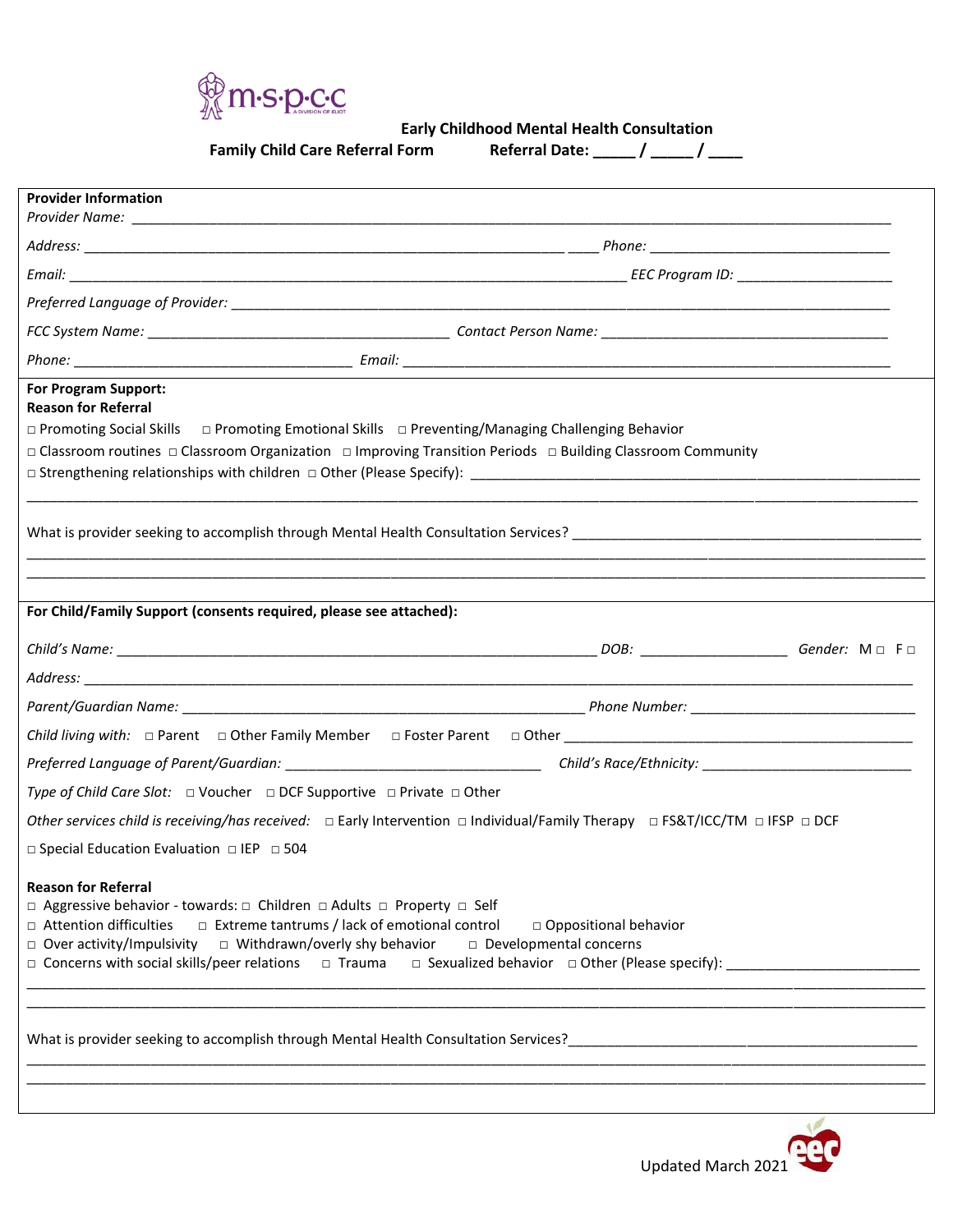

 **Early Childhood Mental Health Consultation**

**Family Child Care Referral Form** 

| <b>Referral Date:</b> |  |  |  |
|-----------------------|--|--|--|
|-----------------------|--|--|--|

| <b>Provider Information</b>                                                                                                                                                                                                                                                       |                                                                                                                                                                                                                  |  |  |  |
|-----------------------------------------------------------------------------------------------------------------------------------------------------------------------------------------------------------------------------------------------------------------------------------|------------------------------------------------------------------------------------------------------------------------------------------------------------------------------------------------------------------|--|--|--|
|                                                                                                                                                                                                                                                                                   |                                                                                                                                                                                                                  |  |  |  |
|                                                                                                                                                                                                                                                                                   |                                                                                                                                                                                                                  |  |  |  |
|                                                                                                                                                                                                                                                                                   |                                                                                                                                                                                                                  |  |  |  |
|                                                                                                                                                                                                                                                                                   |                                                                                                                                                                                                                  |  |  |  |
|                                                                                                                                                                                                                                                                                   |                                                                                                                                                                                                                  |  |  |  |
| For Program Support:<br><b>Reason for Referral</b>                                                                                                                                                                                                                                | □ Promoting Social Skills □ Promoting Emotional Skills □ Preventing/Managing Challenging Behavior<br>□ Classroom routines □ Classroom Organization □ Improving Transition Periods □ Building Classroom Community |  |  |  |
|                                                                                                                                                                                                                                                                                   |                                                                                                                                                                                                                  |  |  |  |
| For Child/Family Support (consents required, please see attached):                                                                                                                                                                                                                |                                                                                                                                                                                                                  |  |  |  |
|                                                                                                                                                                                                                                                                                   |                                                                                                                                                                                                                  |  |  |  |
|                                                                                                                                                                                                                                                                                   |                                                                                                                                                                                                                  |  |  |  |
|                                                                                                                                                                                                                                                                                   |                                                                                                                                                                                                                  |  |  |  |
|                                                                                                                                                                                                                                                                                   |                                                                                                                                                                                                                  |  |  |  |
|                                                                                                                                                                                                                                                                                   |                                                                                                                                                                                                                  |  |  |  |
| Type of Child Care Slot: $\Box$ Voucher $\Box$ DCF Supportive $\Box$ Private $\Box$ Other                                                                                                                                                                                         |                                                                                                                                                                                                                  |  |  |  |
|                                                                                                                                                                                                                                                                                   | Other services child is receiving/has received: $\Box$ Early Intervention $\Box$ Individual/Family Therapy $\Box$ FS&T/ICC/TM $\Box$ IFSP $\Box$ DCF                                                             |  |  |  |
| $\Box$ Special Education Evaluation $\Box$ IEP $\Box$ 504                                                                                                                                                                                                                         |                                                                                                                                                                                                                  |  |  |  |
| <b>Reason for Referral</b><br>□ Aggressive behavior - towards: □ Children □ Adults □ Property □ Self<br>$\Box$ Attention difficulties<br>$\Box$ Over activity/Impulsivity $\Box$ Withdrawn/overly shy behavior<br>$\Box$ Concerns with social skills/peer relations $\Box$ Trauma | $\Box$ Extreme tantrums / lack of emotional control<br>□ Oppositional behavior<br>□ Developmental concerns<br>□ Sexualized behavior □ Other (Please specify): _______________________________                    |  |  |  |
|                                                                                                                                                                                                                                                                                   |                                                                                                                                                                                                                  |  |  |  |

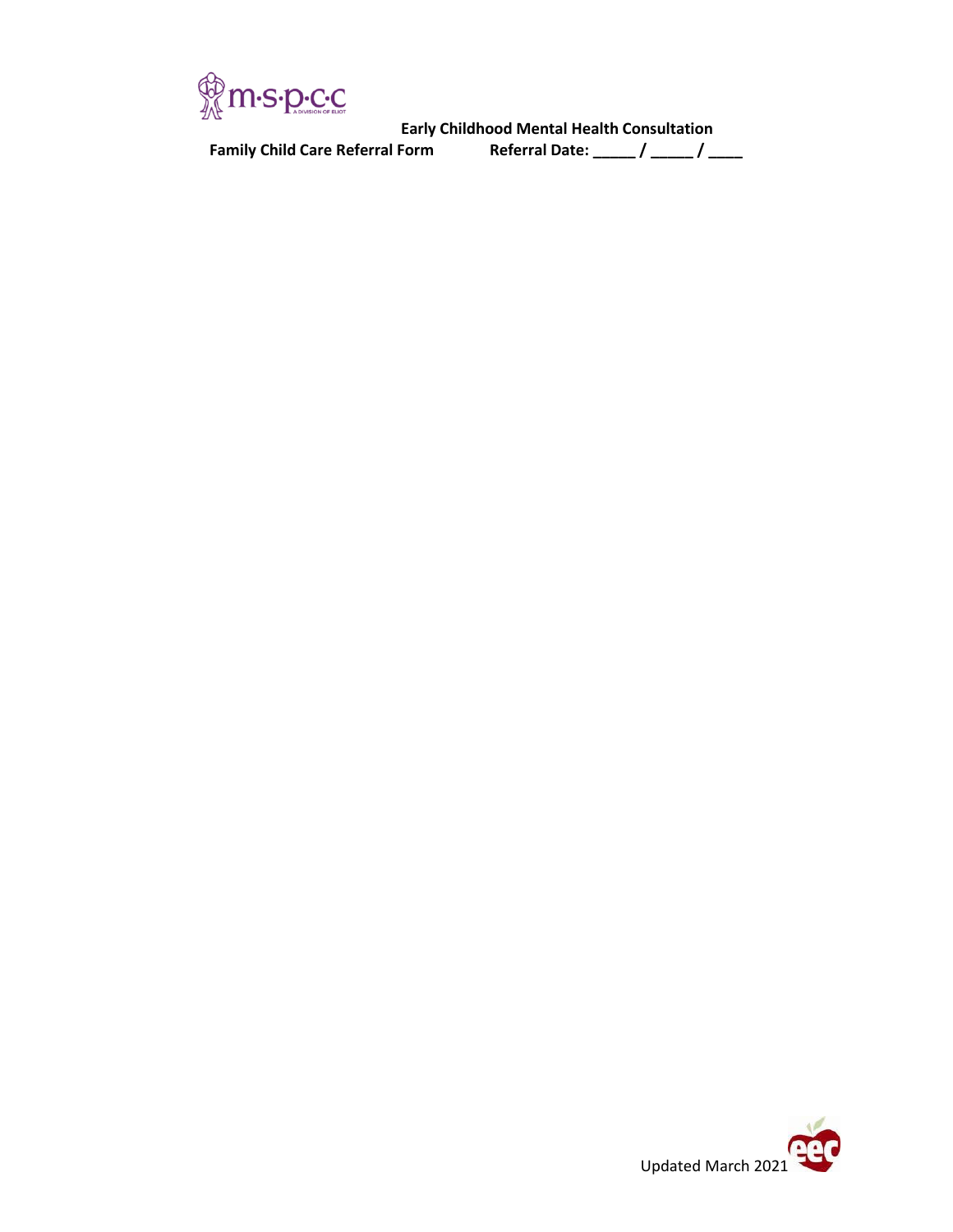

Early Childhood Mental Health Consultation<br>**- / \_\_\_\_\_ / Referral Date: \_\_\_\_\_ / \_\_\_\_\_ / \_**<br>- / \_\_\_\_\_ / weferral Date: \_\_\_\_\_ / \_\_\_\_\_ / \_\_\_\_\_ / \_\_\_\_\_ / **Family Child Care Referral Form Referral Date: \_\_\_\_\_ / \_\_\_\_\_ / \_\_\_\_**

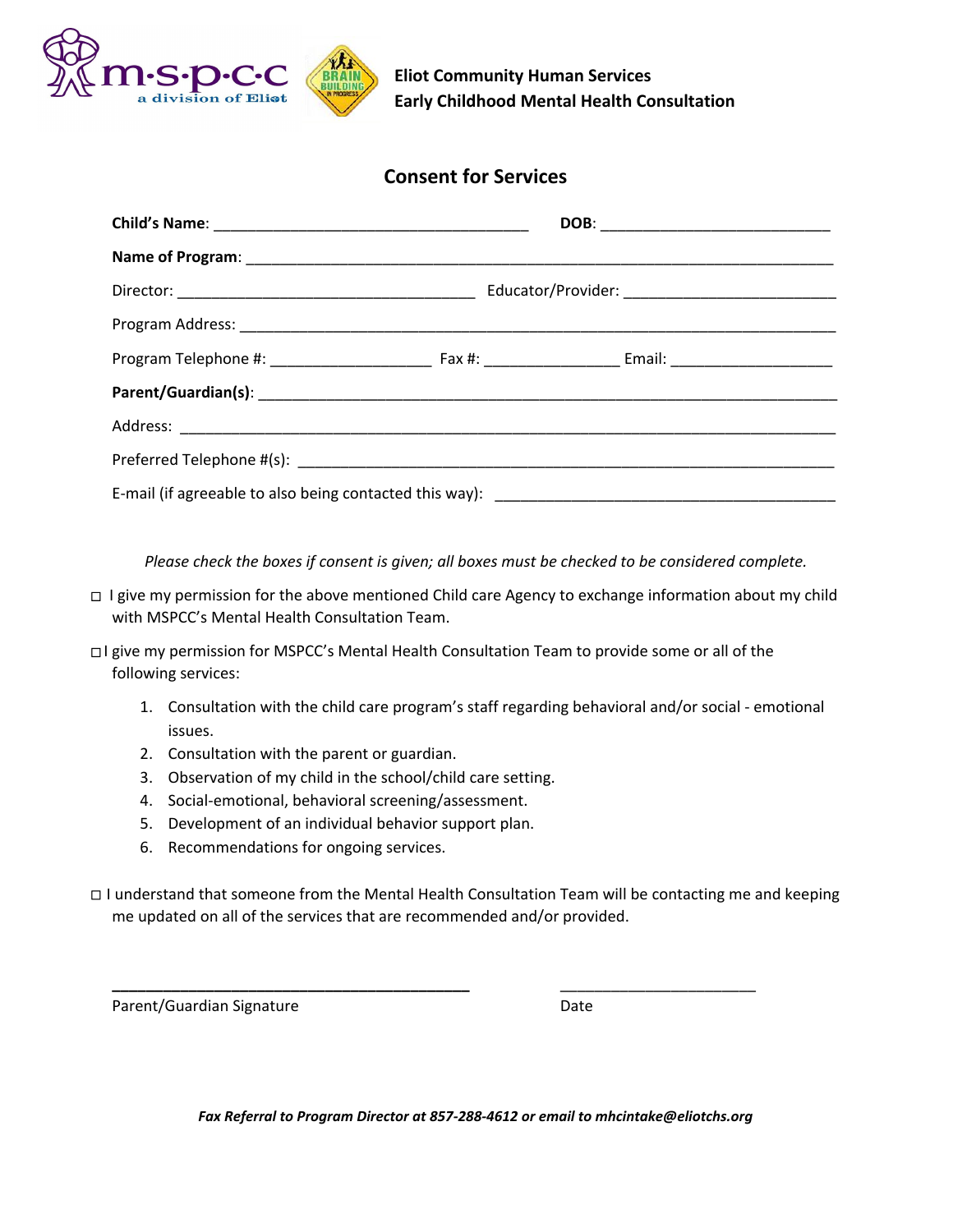

**Eliot Community Human Services Early Childhood Mental Health Consultation**

## **Consent for Services**

*Please check the boxes if consent is given; all boxes must be checked to be considered complete.*

- ⎕ I give my permission for the above mentioned Child care Agency to exchange information about my child with MSPCC's Mental Health Consultation Team.
- ⎕ I give my permission for MSPCC's Mental Health Consultation Team to provide some or all of the following services:
	- 1. Consultation with the child care program's staff regarding behavioral and/or social emotional issues.
	- 2. Consultation with the parent or guardian.
	- 3. Observation of my child in the school/child care setting.
	- 4. Social-emotional, behavioral screening/assessment.
	- 5. Development of an individual behavior support plan.
	- 6. Recommendations for ongoing services.
- ⎕ I understand that someone from the Mental Health Consultation Team will be contacting me and keeping me updated on all of the services that are recommended and/or provided.

**\_\_\_\_\_\_\_\_\_\_\_\_\_\_\_\_\_\_\_\_\_\_\_\_\_\_\_\_\_\_\_\_\_\_\_\_\_\_\_\_\_\_** \_\_\_\_\_\_\_\_\_\_\_\_\_\_\_\_\_\_\_\_\_\_\_

Parent/Guardian Signature Date

*Fax Referral to Program Director at 857-288-4612 or email to mhcintake@eliotchs.org*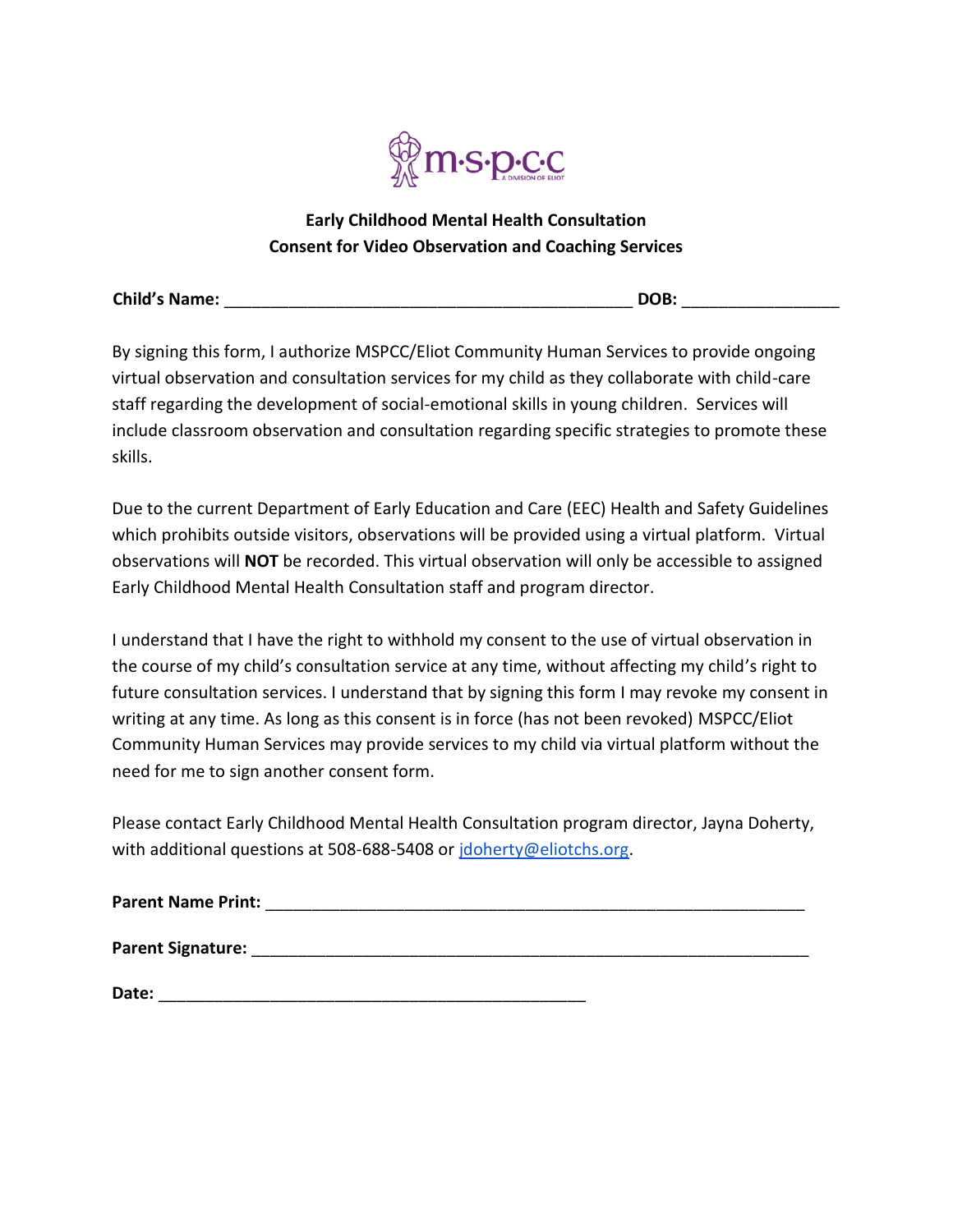

## **Early Childhood Mental Health Consultation Consent for Video Observation and Coaching Services**

| <b>Child's Name:</b> |  | DOB. |  |
|----------------------|--|------|--|
|----------------------|--|------|--|

By signing this form, I authorize MSPCC/Eliot Community Human Services to provide ongoing virtual observation and consultation services for my child as they collaborate with child-care staff regarding the development of social-emotional skills in young children. Services will include classroom observation and consultation regarding specific strategies to promote these skills.

Due to the current Department of Early Education and Care (EEC) Health and Safety Guidelines which prohibits outside visitors, observations will be provided using a virtual platform. Virtual observations will **NOT** be recorded. This virtual observation will only be accessible to assigned Early Childhood Mental Health Consultation staff and program director.

I understand that I have the right to withhold my consent to the use of virtual observation in the course of my child's consultation service at any time, without affecting my child's right to future consultation services. I understand that by signing this form I may revoke my consent in writing at any time. As long as this consent is in force (has not been revoked) MSPCC/Eliot Community Human Services may provide services to my child via virtual platform without the need for me to sign another consent form.

Please contact Early Childhood Mental Health Consultation program director, Jayna Doherty, with additional questions at 508-688-5408 or jdoherty@eliotchs.org.

| <b>Parent Name Print:</b> |  |  |  |
|---------------------------|--|--|--|
| <b>Parent Signature:</b>  |  |  |  |

**Date:** \_\_\_\_\_\_\_\_\_\_\_\_\_\_\_\_\_\_\_\_\_\_\_\_\_\_\_\_\_\_\_\_\_\_\_\_\_\_\_\_\_\_\_\_\_\_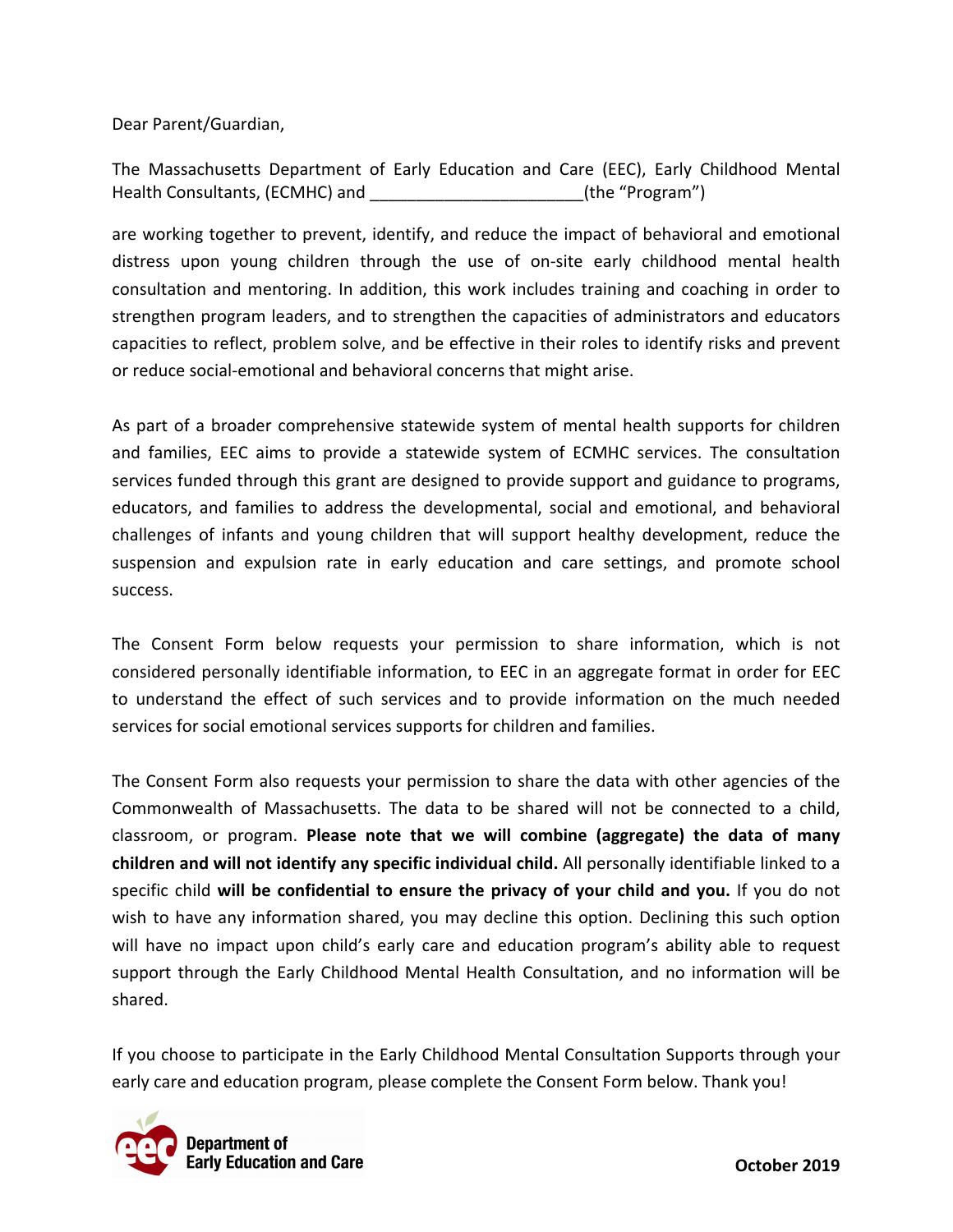Dear Parent/Guardian,

The Massachusetts Department of Early Education and Care (EEC), Early Childhood Mental Health Consultants, (ECMHC) and \_\_\_\_\_\_\_\_\_\_\_\_\_\_\_\_\_\_\_\_\_\_\_(the "Program")

are working together to prevent, identify, and reduce the impact of behavioral and emotional distress upon young children through the use of on-site early childhood mental health consultation and mentoring. In addition, this work includes training and coaching in order to strengthen program leaders, and to strengthen the capacities of administrators and educators capacities to reflect, problem solve, and be effective in their roles to identify risks and prevent or reduce social-emotional and behavioral concerns that might arise.

As part of a broader comprehensive statewide system of mental health supports for children and families, EEC aims to provide a statewide system of ECMHC services. The consultation services funded through this grant are designed to provide support and guidance to programs, educators, and families to address the developmental, social and emotional, and behavioral challenges of infants and young children that will support healthy development, reduce the suspension and expulsion rate in early education and care settings, and promote school success.

The Consent Form below requests your permission to share information, which is not considered personally identifiable information, to EEC in an aggregate format in order for EEC to understand the effect of such services and to provide information on the much needed services for social emotional services supports for children and families.

The Consent Form also requests your permission to share the data with other agencies of the Commonwealth of Massachusetts. The data to be shared will not be connected to a child, classroom, or program. **Please note that we will combine (aggregate) the data of many children and will not identify any specific individual child.** All personally identifiable linked to a specific child **will be confidential to ensure the privacy of your child and you.** If you do not wish to have any information shared, you may decline this option. Declining this such option will have no impact upon child's early care and education program's ability able to request support through the Early Childhood Mental Health Consultation, and no information will be shared.

If you choose to participate in the Early Childhood Mental Consultation Supports through your early care and education program, please complete the Consent Form below. Thank you!